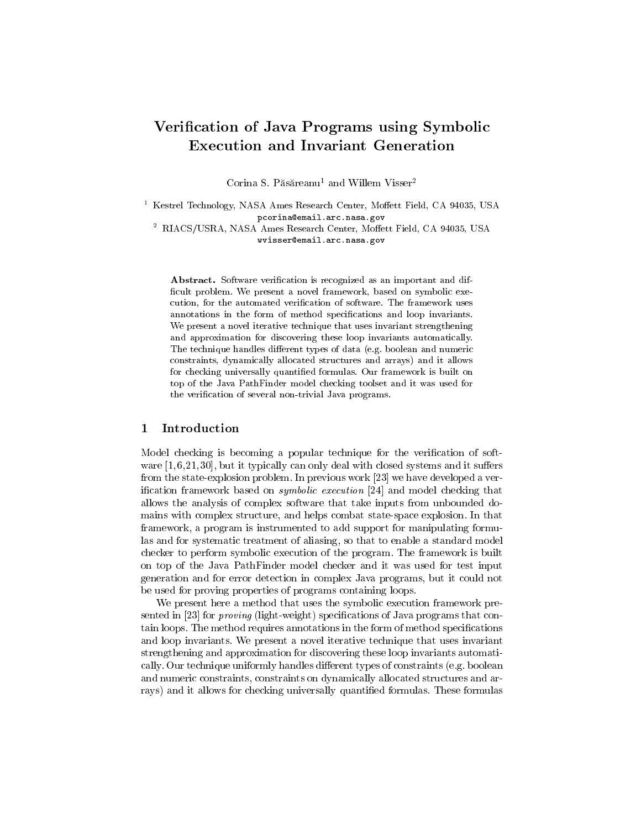# verint verified of Variation of Anti-Cation and Symbolic Symbolic Symbolic Symbolic Symbolic Symbolic Symbolic executive and Institute and Investor and Investor and Investor and Investor and Investor and Investor and Investor

Corina S. Păsăreanu<sup>1</sup> and Willem Visser<sup>2</sup>

 $^{\circ}$  Kestrel Technology, NASA Ames Research Center, Monett Field, CA 94035, USA pcorina@email.arc.nasa.gov

- RIACS/USRA, NASA Ames Research Center, Montett Field, CA 94035, USA wvisser@email.arc.nasa.gov

Abstract. Software verification is recognized as an important and difficult problem. We present a novel framework, based on symbolic execution, for the automated verification of software. The framework uses annotations in the form of method specications and loop invariants. We present a novel iterative technique that uses invariant strengthening and approximation for discovering these loop invariants automatically. The technique handles different types of data (e.g. boolean and numeric constraints, dynamically allocated structures and arrays) and it allows for checking universally quantied formulas. Our framework is built on top of the Java PathFinder model checking toolset and it was used for the verication of several non-trivial Java programs.

#### 1Introduction

Model checking is becoming a popular technique for the verification of software  $[1, 6, 21, 30]$ , but it typically can only deal with closed systems and it suffers from the state-explosion problem. In previous work [23] we have developed a verification framework based on *symbolic execution* [24] and model checking that allows the analysis of complex software that take inputs from unbounded domains with complex structure, and helps combat state-space explosion. In that framework, a program is instrumented to add support for manipulating formulas and for systematic treatment of aliasing, so that to enable a standard model checker to perform symbolic execution of the program. The framework is built on top of the Java PathFinder model checker and it was used for test input generation and for error detection in complex Java programs, but it could not be used for proving properties of programs containing loops.

We present here a method that uses the symbolic execution framework presented in [23] for *proving* (light-weight) specifications of Java programs that contain loops. The method requires annotations in the form of method specications and loop invariants. We present a novel iterative technique that uses invariant strengthening and approximation for discovering these loop invariants automatically. Our technique uniformly handles different types of constraints (e.g. boolean and numeric constraints, constraints on dynamically allocated structures and arrays) and it allows for checking universally quantied formulas. These formulas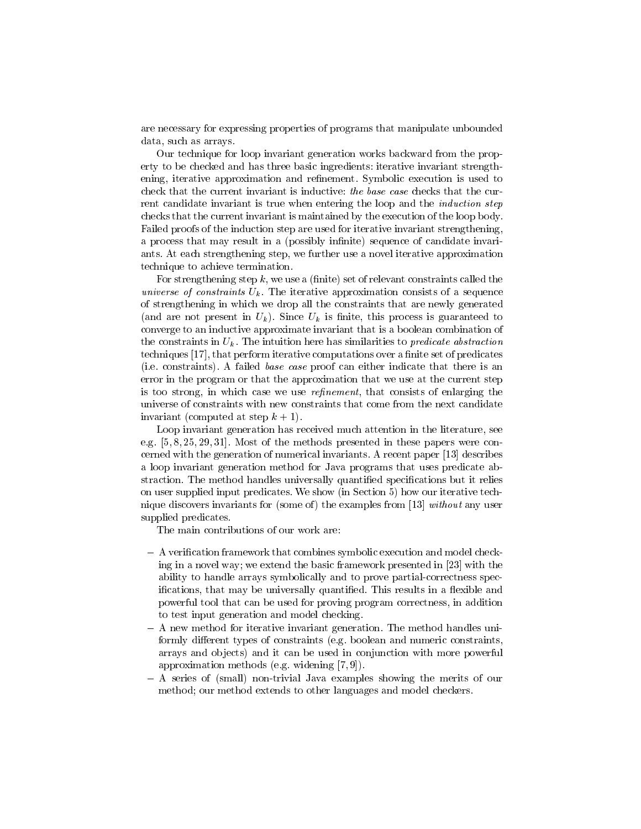are necessary for expressing properties of programs that manipulate unbounded data, such as arrays.

Our technique for loop invariant generation works backward from the property to be checked and has three basic ingredients: iterative invariant strengthening, iterative approximation and refinement. Symbolic execution is used to check that the current invariant is inductive: the base case checks that the current candidate invariant is true when entering the loop and the induction step checks that the current invariant is maintained by the execution of the loop body. Failed proofs of the induction step are used for iterative invariant strengthening, a process that may result in a (possibly infinite) sequence of candidate invariants. At each strengthening step, we further use a novel iterative approximation technique to achieve termination.

For strengthening step  $k$ , we use a (finite) set of relevant constraints called the universe of constraints Uk. The iterative approximation consists of a sequence of strengthening in which we drop all the constraints that are newly generated (and are not present in  $U_k$ ). Since  $U_k$  is finite, this process is guaranteed to converge to an inductive approximate invariant that is a boolean combination of the constraints in  $U_k$ . The intuition here has similarities to *predicate abstraction* techniques [17], that perform iterative computations over a finite set of predicates (i.e. constraints). A failed base case proof can either indicate that there is an error in the program or that the approximation that we use at the current step is too strong, in which case we use *refinement*, that consists of enlarging the universe of constraints with new constraints that come from the next candidate invariant (computed at step  $k + 1$ ).

Loop invariant generation has received much attention in the literature, see e.g. [5, 8, 25, 29, 31]. Most of the methods presented in these papers were concerned with the generation of numerical invariants. A recent paper [13] describes a loop invariant generation method for Java programs that uses predicate abstraction. The method handles universally quantified specifications but it relies on user supplied input predicates. We show (in Section 5) how our iterative technique discovers invariants for (some of) the examples from  $[13]$  without any user supplied predicates.

The main contributions of our work are:

- $-$  A verification framework that combines symbolic execution and model checking in a novel way; we extend the basic framework presented in [23] with the ability to handle arrays symbolically and to prove partial-correctness specifications, that may be universally quantified. This results in a flexible and powerful tool that can be used for proving program correctness, in addition to test input generation and model checking.
- A new method for iterative invariant generation. The method handles uniformly different types of constraints (e.g. boolean and numeric constraints, arrays and objects) and it can be used in conjunction with more powerful approximation methods (e.g. widening [7, 9]).
- $-$  A series of (small) non-trivial Java examples showing the merits of our method; our method extends to other languages and model checkers.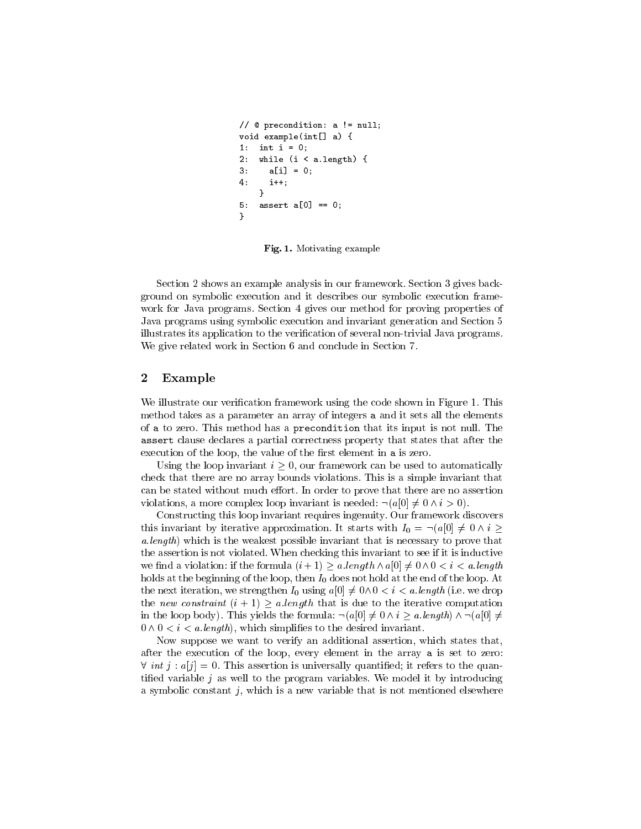```
// @ precondition: a != null;
void example(int[] a) {
1: int i = 0;
2: while (i < a.length) {
3: a[i] = 0;4: i++;
   <sup>}</sup>
    }
5:assert a[0] == 0;}
```
Fig. 1. Motivating example

Section 2 shows an example analysis in our framework. Section 3 gives background on symbolic execution and it describes our symbolic execution frame work for Java programs. Section 4 gives our method for proving properties of Java programs using symbolic execution and invariant generation and Section 5 illustrates its application to the verication of several non-trivial Java programs. We give related work in Section 6 and conclude in Section 7.

### 2Example

We illustrate our verification framework using the code shown in Figure 1. This method takes as a parameter an array of integers a and it sets all the elements of a to zero. This method has a precondition that its input is not null. The assert clause declares a partial correctness property that states that after the execution of the loop, the value of the first element in a is zero.

Using the loop invariant  $i \geq 0$ , our framework can be used to automatically check that there are no array bounds violations. This is a simple invariant that can be stated without much effort. In order to prove that there are no assertion violations, a more complex loop invariant is needed:  $\neg(a[0] \neq 0 \land i > 0)$ .

Constructing this loop invariant requires ingenuity. Our framework discovers this invariant by iterative approximation. It starts with  $I_0 = \neg(a[0] \neq 0 \land i \geq 0)$ a.length) which is the weakest possible invariant that is necessary to prove that the assertion is not violated. When checking this invariant to see if it is inductive we find a violation: if the formula  $(i + 1) > a.length \wedge a[0] \neq 0 \wedge 0 < i < a.length$ holds at the beginning of the loop, then  $I_0$  does not hold at the end of the loop. At the next iteration, we strengthen  $I_0$  using  $a[0] \neq 0 \wedge 0 < i < a.length$  (i.e. we drop the new constraint  $(i + 1) \ge a.length$  that is due to the iterative computation in the loop body). This yields the formula:  $\neg(a[0] \neq 0 \land i > a.length) \land \neg(a[0] \neq 0 \land i > a.length)$  $0 \wedge 0 \leq i \leq \text{a.length}$ , which simplifies to the desired invariant.

Now suppose we want to verify an additional assertion, which states that, after the execution of the loop, every element in the array a is set to zero:  $\forall$  int j:  $a[j] = 0$ . This assertion is universally quantified; it refers to the quantified variable  $j$  as well to the program variables. We model it by introducing a symbolic constant  $j$ , which is a new variable that is not mentioned elsewhere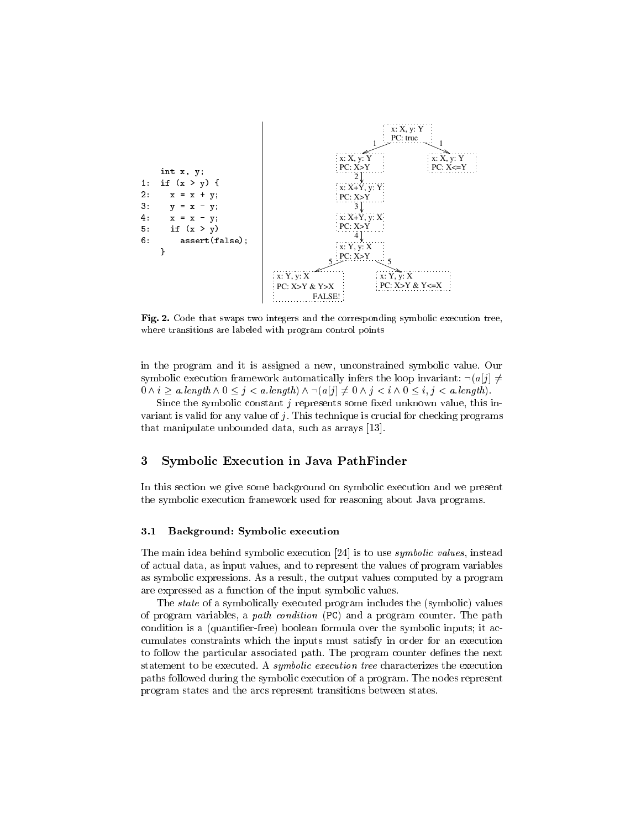

Fig. 2. Code that swaps two integers and the corresponding symbolic execution tree, where transitions are labeled with program control points

in the program andit is assigned a new, unconstrained symbolic value. Our symbolic execution framework automatically infers the loop invariant:  $\neg(a[j] \neq$  $0 \wedge i \geq a.length \wedge 0 \leq j < a.length \wedge \neg(a[j] \neq 0 \wedge j < i \wedge 0 \leq i, j < a.length).$ 

Since the symbolic constant  $j$  represents some fixed unknown value, this invariant is valid for any value of  $j$ . This technique is crucial for checking programs that manipulate unbounded data, such as arrays [13].

#### 3Symbolic Execution in Java PathFinder

In this section we give some background on symbolic execution and we present the symbolic execution framework used for reasoning about Java programs.

### 3.1 Background: Symbolic execution

The main idea behind symbolic execution [24] is to use symbolic values, instead of actual data, as input values, and to represent the values of program variables as symbolic expressions. As a result, the output values computed by a program are expressed as a function of the input symbolic values.

The state of a symbolically executed program includes the (symbolic) values of program variables, a path condition  $(PC)$  and a program counter. The path condition is a (quantier-free) boolean formula over the symbolic inputs; it accumulates constraints which the inputs must satisfy in order for an execution to follow the particular associated path. The program counter defines the next statement to be executed. A symbolic execution tree characterizes the execution paths followed during the symbolic execution of a program. The nodes represent program states and the arcs represent transitions between states.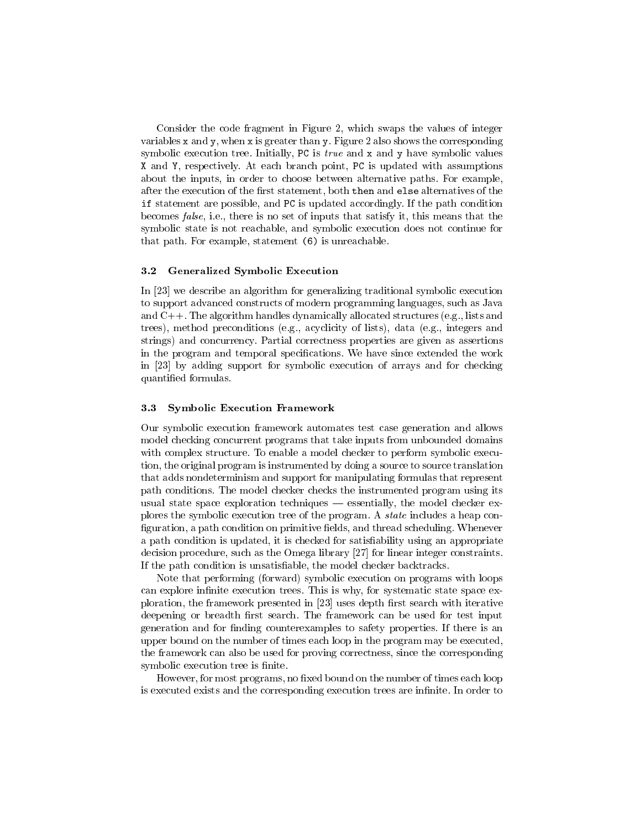Consider the code fragment in Figure 2, which swaps the values of integer variables x and y, when x is greater than y. Figure 2 also shows the corresponding symbolic execution tree. Initially,  $PC$  is *true* and  $x$  and  $y$  have symbolic values X and Y, respectively. At each branch point, PC is updated with assumptions about the inputs, in order to choose between alternative paths. For example, after the execution of the first statement, both then and else alternatives of the if statement are possible, and PC is updated accordingly. If the path condition becomes false, i.e., there is no set of inputs that satisfy it, this means that the symbolic state is not reachable, and symbolic execution does not continue for that path. For example, statement (6) is unreachable.

### 3.2 Generalized Symbolic Execution

In [23] we describe an algorithm for generalizing traditional symbolic execution to support advanced constructs of modern programming languages, such as Java and C++. The algorithm handles dynamically allocated structures (e.g., lists and trees), method preconditions (e.g., acyclicity of lists), data (e.g., integers and strings) and concurrency. Partial correctness properties are given as assertions in the program and temporal specications. We have since extended the work in [23] by adding support for symbolic execution of arrays and for checking quantied formulas.

### 3.3 Symbolic Execution Framework

Our symbolic execution framework automates test case generation and allows model checking concurrent programs that take inputs from unbounded domains with complex structure. To enable a model checker to perform symbolic execution, the original program is instrumented by doing a source to source translation that adds nondeterminism and support for manipulating formulas that represent path conditions. The model checker checks the instrumented program using its usual state space exploration techniques  $-$  essentially, the model checker explores the symbolic execution tree of the program. A state includes a heap con figuration, a path condition on primitive fields, and thread scheduling. Whenever a path condition is updated, it is checked for satisfiability using an appropriate decision procedure, such as the Omega library [27] for linear integer constraints. If the path condition is unsatisfiable, the model checker backtracks.

Note that performing (forward) symbolic execution on programs with loops can explore infinite execution trees. This is why, for systematic state space exploration, the framework presented in [23] uses depth first search with iterative deepening or breadth first search. The framework can be used for test input generation and for finding counterexamples to safety properties. If there is an upper bound on the number of times each loop in the program may be executed, the framework can also be used for proving correctness, since the corresponding symbolic execution tree is finite.

However, for most programs, no fixed bound on the number of times each loop is executed exists and the corresponding execution trees are infinite. In order to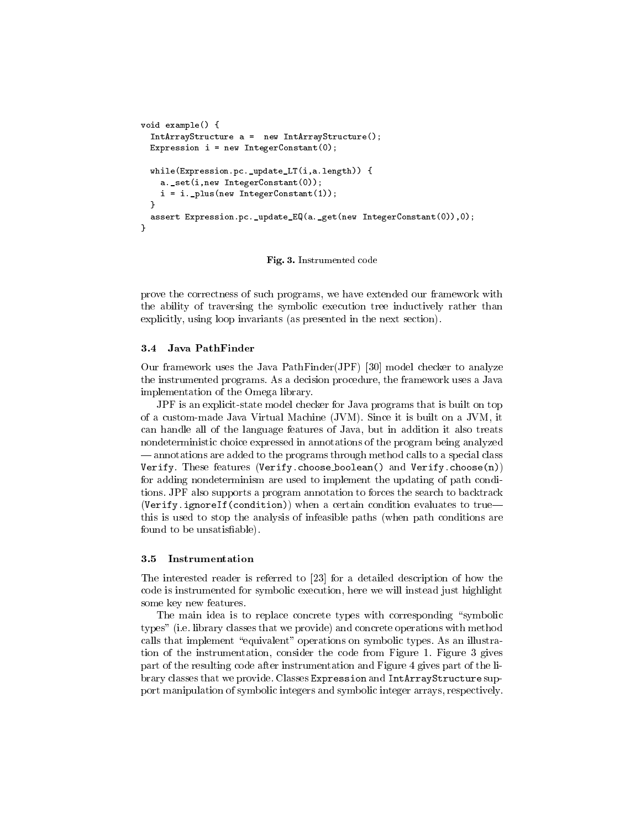```
void example() {
 IntArrayStructure a = new IntArrayStructure();
 Expression i = new IntegerConstant(0);while(Expression.pc._update_LT(i,a.length)) {
    a._set(i,new IntegerConstant(0));
   i = i._plus(new IntegerConstant(1));
  }
 assert Expression.pc._update_EQ(a._get(new IntegerConstant(0)),0);
ι
}
```
Fig. 3. Instrumented code

prove the correctness of such programs, we have extended our framework with the ability of traversing the symbolic execution tree inductively rather than explicitly, using loop invariants (as presented in the next section).

#### $3.4$ **Java PathFinder**

Our framework uses the Java PathFinder(JPF) [30] model checker to analyze the instrumented programs. As a decision procedure, the framework uses a Java implementation of the Omega library.

JPF is an explicit-state model checker for Java programs that is built on top of a custom-made Java Virtual Machine (JVM). Since it is built on a JVM, it can handle all of the language features of Java, but in addition it also treats nondeterministic choice expressed in annotations of the program being analyzed | annotations are added to the programs through method calls to a special class Verify. These features (Verify.choose boolean() and Verify.choose(n)) for adding nondeterminism are used to implement the updating of path conditions. JPF also supports a program annotation to forces the search to backtrack (Verify.ignoreIf(condition)) when a certain condition evaluates to true this is used to stop the analysis of infeasible paths (when path conditions are found to be unsatisfiable).

### 3.5 Instrumentation

The interested reader is referred to [23] for a detailed description of how the code is instrumented for symbolic execution, here we will instead just highlight some key new features.

The main idea is to replace concrete types with corresponding "symbolic types" (i.e. library classes that we provide) and concrete operations with method calls that implement "equivalent" operations on symbolic types. As an illustration of the instrumentation, consider the code from Figure 1. Figure 3 gives part of the resulting code after instrumentation and Figure 4 gives part of the library classes that we provide. Classes Expression and IntArrayStructure support manipulation of symbolic integers and symbolic integer arrays, respectively.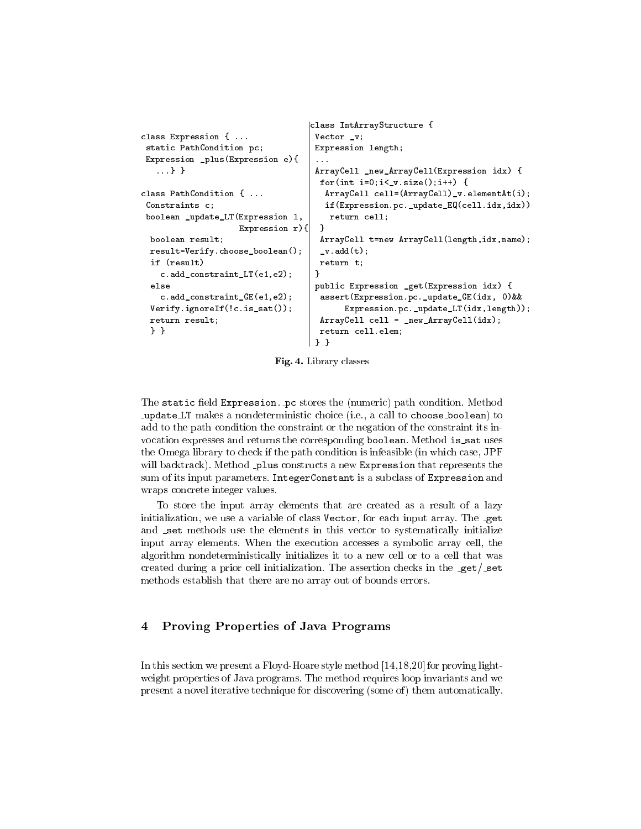```
class IntArrayStructure {
                                   Vector _v;
class Expression { ...
static PathCondition pc;
                                   Expression length;
Expression _plus(Expression e){ | ...
   ...} }
                                   ArrayCell _new_ArrayCell(Expression idx) {
                                    for(int i=0; i \leq v.size();i++) {
class PathCondition { ...
                                     ArrayCell cell=(ArrayCell)_v.elementAt(i);
Constraints c;
                                     if(Expression.pc._update_EQ(cell.idx,idx))
boolean _update_LT(Expression l,
                                      return cell;
                   Expression r){| }
                                     }
 boolean result;
                                    ArrayCell t=new ArrayCell(length,idx,name);
 result=Verify.choose_boolean();
                                    _v.add(t);if (result)
                                    return t;
    c.add_constraint_LT(e1,e2); |\}}
 else
                                   public Expression _get(Expression idx) {
    c.add_constraint_GE(e1,e2);
                                    assert(Expression.pc._update_GE(idx, 0)&&
 Verify.ignoreIf(!c.is_sat());
                                         Expression.pc._update_LT(idx,length));
 return result;
                                    ArrayCell cell = _new_ArrayCell(idx);
 } }
                                    return cell.elem;
                                   \}
```
Fig. 4. Library classes

} }

The static field Expression. pc stores the (numeric) path condition. Method update LT makes a nondeterministic choice (i.e., a call to choose boolean) to add to the path condition the constraint or the negation of the constraint its in vocation expresses and returns the corresponding boolean. Method is sat uses the Omega library to check if the path condition is infeasible (in which case, JPF will backtrack). Method plus constructs a new Expression that represents the sum of its input parameters. IntegerConstant is a subclass of Expression and wraps concrete integer values.

To store the input array elements that are created as a result of a lazy initialization, we use a variable of class Vector, for each input array. The get and set methods use the elements in this vector to systematically initialize input array elements. When the execution accesses a symbolic array cell, the algorithm nondeterministically initializes it to a new cell or to a cell that was created during a prior cell initialization. The assertion checks in the  $get / set$ methods establish that there are no array out of bounds errors.

#### 4Proving Properties of Java Programs

In this section we present a Floyd-Hoare style method [14,18,20] for proving light weight properties of Java programs. The method requires loop invariants and we present a novel iterative technique for discovering (some of ) them automatically.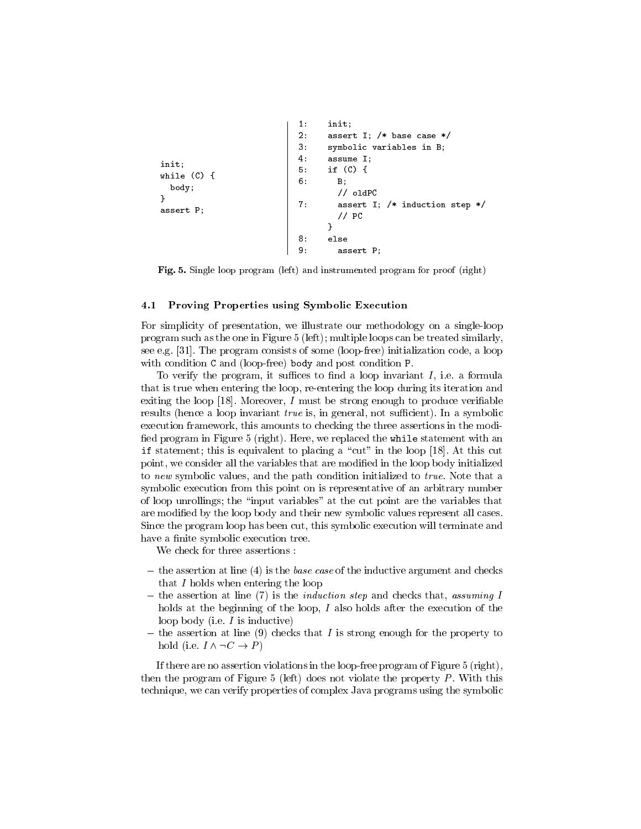```
1:<u>- initial in the set of \mathbf{r}</u>
                               2:assert I; /* base case */3:symbolic variables in B;
                               4: assume I;
init;
                                       if (C) {
                               5:while (C) {
                               6:body;
                                \mathbf{B} becomes the set of \mathbf{B}// oldPC
                               7:assert I; /* induction step */}
assert P;
                                         // PC
                                      \mathcal{F}}
                               9: assert P;
```
Fig. 5. Single loop program (left) and instrumented program for proof (right)

### 4.1 Proving Properties using Symbolic Execution

For simplicity of presentation, we illustrate our methodology on a single-loop program such as the one in Figure 5 (left); multiple loops can be treated similarly, see e.g. [31]. The program consists of some (loop-free) initialization code, a loop with condition C and (loop-free) body and post condition P.

To verify the program, it suffices to find a loop invariant  $I$ , i.e. a formula that is true when entering the loop, re-entering the loop during its iteration and exiting the loop  $[18]$ . Moreover, I must be strong enough to produce verifiable results (hence a loop invariant  $true$  is, in general, not sufficient). In a symbolic execution framework, this amounts to checking the three assertions in the modi fied program in Figure 5 (right). Here, we replaced the while statement with an if statement; this is equivalent to placing a "cut" in the loop  $[18]$ . At this cut point, we consider all the variables that are modied in the loop body initialized to new symbolic values, and the path condition initialized to true. Note that a symbolic execution from this point on is representative of an arbitrary number of loop unrollings; the \input variables" at the cut point are the variables that are modied by the loop body and their new symbolic values represent all cases. Since the program loop has been cut, this symbolic execution will terminate and have a finite symbolic execution tree.

- ${\rm -}$  the assertion at line (4) is the *base case* of the inductive argument and checks that  $I$  holds when entering the loop
- ${\rm -}$  the assertion at line (7) is the *induction step* and checks that, assuming I holds at the beginning of the loop, I also holds after the execution of the loop body (i.e.  $I$  is inductive)
- $-$  the assertion at line (9) checks that I is strong enough for the property to hold (i.e.  $I \wedge \neg C \rightarrow P$ )

If there are no assertion violations in the loop-free program of Figure 5 (right), then the program of Figure 5 (left) does not violate the property  $P$ . With this technique, we can verify properties of complex Java programs using the symbolic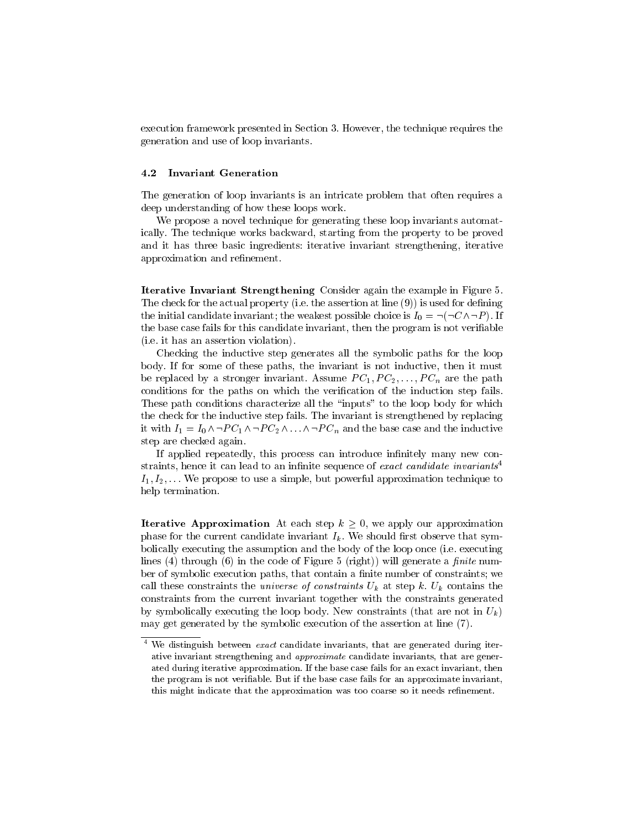execution framework presented in Section 3. However, the technique requires the generation and use of loop invariants.

### 4.2 Invariant Generation

The generation of loop invariants is an intricate problem that often requires a deep understanding of how these loops work.

We propose a novel technique for generating these loop invariants automatically. The technique works backward, starting from the property to be proved and it has three basic ingredients: iterative invariant strengthening, iterative approximation and refinement.

Iterative Invariant Strengthening Consider again the example in Figure 5. The check for the actual property (i.e. the assertion at line  $(9)$ ) is used for defining the initial candidate invariant; the weakest possible choice is  $I_0 = \neg(\neg C \land \neg P)$ . If the base case fails for this candidate invariant, then the program is not verifiable (i.e. it has an assertion violation).

Checking the inductive step generates all the symbolic paths for the loop body. If for some of these paths, the invariant is not inductive, then it must be replaced by a stronger invariant. Assume  $PC_1, PC_2, \ldots, PC_n$  are the path conditions for the paths on which the verication of the induction step fails. These path conditions characterize all the "inputs" to the loop body for which the check for the inductive step fails. The invariant is strengthened by replacing it with  $I_1 = I_0 \wedge \neg PC_1 \wedge \neg PC_2 \wedge \ldots \wedge \neg PC_n$  and the base case and the inductive step are checked again.

If applied repeatedly, this process can introduce infinitely many new constraints, hence it can lead to an infinite sequence of *exact candidate invariants*<sup>4</sup>  $I_1, I_2, \ldots$  We propose to use a simple, but powerful approximation technique to help termination.

**Iterative Approximation** At each step  $k \geq 0$ , we apply our approximation phase for the current candidate invariant  $I_k$ . We should first observe that symbolically executing the assumption and the body of the loop once (i.e. executing lines (4) through (6) in the code of Figure 5 (right)) will generate a *finite* number of symbolic execution paths, that contain a finite number of constraints; we call these constraints the *universe of constraints*  $U_k$  at step k.  $U_k$  contains the constraints from the current invariant together with the constraints generated by symbolically executing the loop body. New constraints (that are not in  $U_k$ ) may get generated by the symbolic execution of the assertion at line (7).

 $\,$  we distinguish between  $\,exact$  candidate invariants, that are generated during iterative invariant strengthening and approximate candidate invariants, that are generated during iterative approximation. If the base case fails for an exact invariant, then the program is not veriable. But if the base case fails for an approximate invariant, this might indicate that the approximation was too coarse so it needs refinement.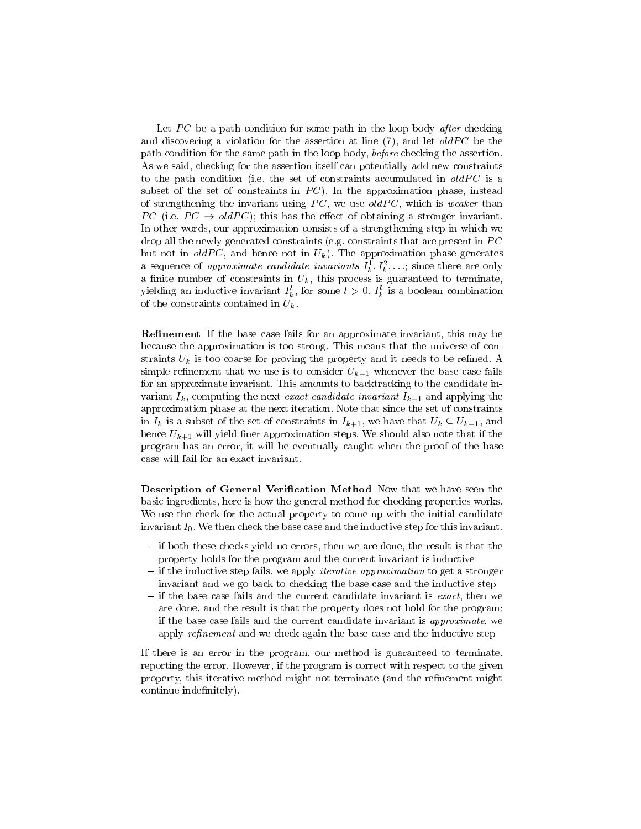Let  $PC$  be a path condition for some path in the loop body *after* checking and discovering a violation for the assertion at line  $(7)$ , and let  $oldPC$  be the path condition for the same path in the loop body, before checking the assertion. As we said, checking for the assertion itself can potentially add new constraints to the path condition (i.e. the set of constraints accumulated in  $oldPC$  is a subset of the set of constraints in  $PC$ ). In the approximation phase, instead of strengthening the invariant using  $PC$ , we use  $oldPC$ , which is weaker than  $P \subset \mathbb{R}$  . Propositional contribution is the effect of obtaining a stronger invariant. In other words, our approximation consists of a strengthening step in which we drop all the newly generated constraints (e.g. constraints that are present in  $PC$ but not in  $oldPC$ , and hence not in  $U_k$ ). The approximation phase generates a sequence of *approximate candidate invariants*  $I_k^r, I_k^r, \ldots$ ; since there are only a finite number of constraints in  $U_k$ , this process is guaranteed to terminate, yielding an inductive invariant  $I_k$ , for some  $i > 0$ .  $I_k$  is a boolean combination of the constraints contained in  $U_k$ .

**Refinement** If the base case fails for an approximate invariant, this may be because the approximation is too strong. This means that the universe of constraints  $U_k$  is too coarse for proving the property and it needs to be refined. A simple refinement that we use is to consider  $U_{k+1}$  whenever the base case fails for an approximate invariant. This amounts to backtracking to the candidate in variant  $I_k$ , computing the next exact candidate invariant  $I_{k+1}$  and applying the approximation phase at the next iteration. Note that since the set of constraints in  $I_k$  is a subset of the set of constraints in  $I_{k+1}$ , we have that  $U_k \subseteq U_{k+1}$ , and hence  $U_{k+1}$  will yield finer approximation steps. We should also note that if the program has an error, it will be eventually caught when the proof of the base case will fail for an exact invariant.

Description of General Verification Method Now that we have seen the basic ingredients, here is how the general method for checking properties works. We use the check for the actual property to come up with the initial candidate invariant  $I_0$ . We then check the base case and the inductive step for this invariant.

- { if both these checks yield no errors, then we are done, the result is that the property holds for the program and the current invariant is inductive
- if the inductive step fails, we apply *iterative approximation* to get a stronger invariant and we go back to checking the base case and the inductive step
- ${\bf -}$  if the base case fails and the current candidate invariant is exact, then we are done, and the result is that the property does not hold for the program; if the base case fails and the current candidate invariant is approximate, we apply *refinement* and we check again the base case and the inductive step

If there is an error in the program, our method is guaranteed to terminate, reporting the error. However, if the program is correct with respect to the given property, this iterative method might not terminate (and the refinement might continue indefinitely).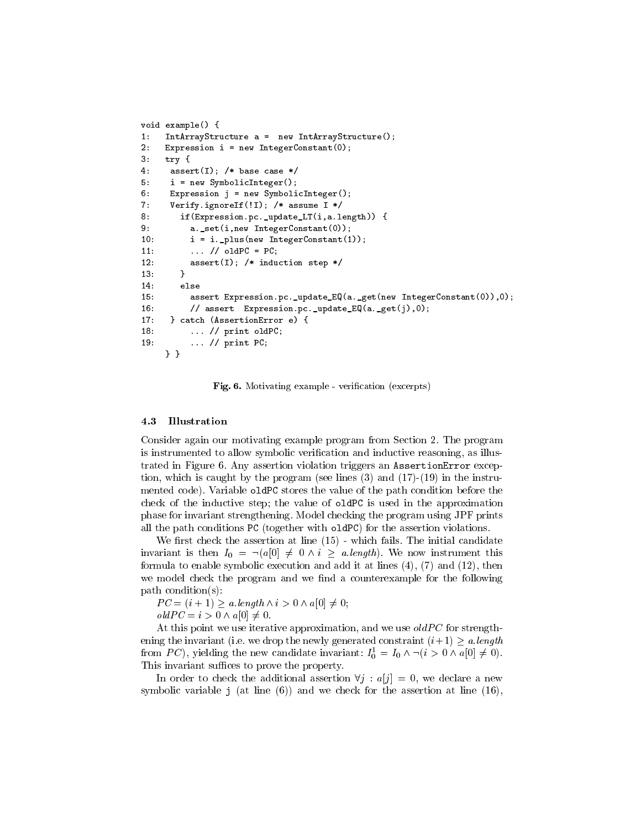```
void example() {
1:1: IntArrayStructure a = new IntArrayStructure();
     Expression i = new IntegerConstant(0);2:3: try {
4: assert(I); /* base case */
5:i = new SymbolicInteger();
6: Expression j = new SymbolicInteger();
7:7: Verify.ignoreIf(!I); /* assume I */
        8: if(Expression.pc._update_LT(i,a.length)) {
\mathsf{R}.
\mathbf{q}.
          a._set(i,new IntegerConstant(0));
10<sub>1</sub>i = i. plus(new IntegerConstant(1));
1111.1 / 01 order 10.1 / 00 = 10.1 / 00assert(I); /* induction step */
12<sub>1</sub>13: }
          assert Expression.pc._update_EQ(a._get(new IntegerConstant(0)),0);
15:16: // assert Expression.pc._update_EQ(a._get(j),0);
17: } catch (AssertionError e) {
18: ... // print oldPC;
19:\ldots // print PC;
     \} }
     } }
```
Fig. 6. Motivating example - verification (excerpts)

### 4.3 Illustration

Consider again our motivating example program from Section 2. The program is instrumented to allow symbolic verification and inductive reasoning, as illustrated in Figure 6. Any assertion violation triggers an AssertionError exception, which is caught by the program (see lines (3) and (17)-(19) in the instrumented code). Variable oldPC stores the value of the path condition before the check of the inductive step; the value of oldPC is used in the approximation phase for invariant strengthening. Model checking the program using JPF prints all the path conditions PC (together with oldPC) for the assertion violations.

We first check the assertion at line  $(15)$  - which fails. The initial candidate invariant is then  $I_0 = \neg(a[0] \neq 0 \land i \geq a.length)$ . We now instrument this formula to enable symbolic execution and add it at lines  $(4)$ ,  $(7)$  and  $(12)$ , then we model check the program and we find a counterexample for the following path condition(s):

 $P_1 \cup \emptyset = (i + 1) > u$ . iength  $\wedge i > 0 \wedge u$ [0]  $\neq 0$ ;  $U(u) \cup -i \times U \cap u$  $|U| \neq U$ .

At this point we use iterative approximation, and we use  $oldPC$  for strengthening the invariant (i.e. we drop the newly generated constraint  $(i+1) > a.length$ from  $P(\mathcal{C})$ , yielding the new candidate invariant:  $I_0 = I_0 \wedge \neg (i > 0 \wedge a[0] \neq 0)$ . This invariant suffices to prove the property.

In order to check the additional assertion  $\forall j : a[j] = 0$ , we declare a new symbolic variable j (at line (6)) and we check for the assertion at line (16),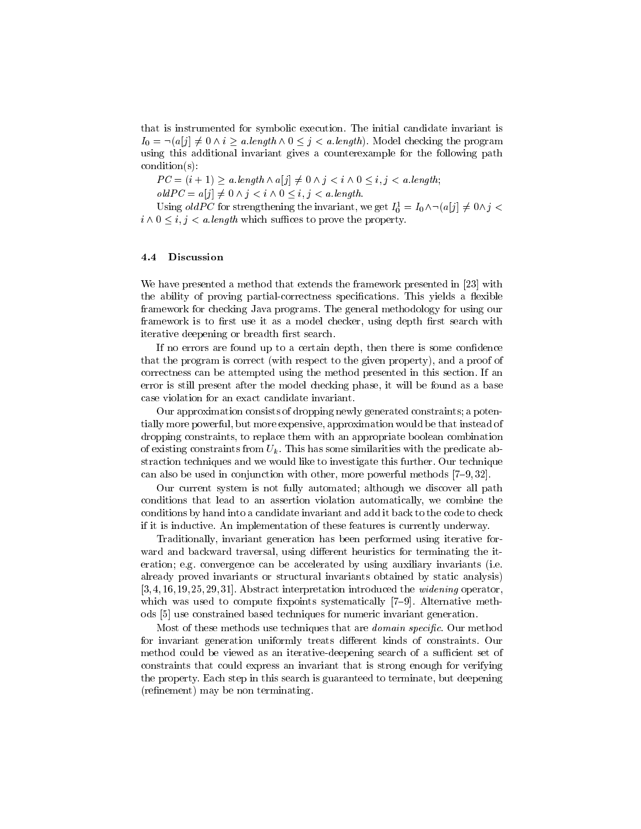that is instrumented for symbolic execution. The initial candidate invariant is  $I_0 = \neg(a[j] \neq 0 \land i \geq \text{a.length} \land 0 \leq j < \text{a.length}$ . Model checking the program using this additional invariant gives a counterexample for the following path condition(s):

 $P(X = \{i + 1\} \geq a$ . length  $\wedge a[j] \neq 0 \wedge j \leq i \wedge 0 \leq i, j \leq a$ . length;  $\alpha$  if  $\alpha$  is  $\alpha$  if  $\alpha$  is  $\alpha$  if  $\alpha$  is in  $\alpha$  if  $\alpha$  is in  $\alpha$ .

Using *old* C for strengthening the invariant, we get  $I_0 = I_0 \wedge \neg (a[j] \neq 0 \wedge j \leq 0)$  $i \wedge v \sim i, j \sim u$  is equal which sumices to prove the property.

We have presented a method that extends the framework presented in [23] with the ability of proving partial-correctness specifications. This yields a flexible framework for checking Java programs. The general methodology for using our framework is to first use it as a model checker, using depth first search with iterative deepening or breadth first search.

If no errors are found up to a certain depth, then there is some condence that the program is correct (with respect to the given property), and a proof of correctness can be attempted using the method presented in this section. If an error is still present after the model checking phase, it will be found as a base case violation for an exact candidate invariant.

Our approximation consists of dropping newly generated constraints; a potentially more powerful, but more expensive, approximation would be that instead of dropping constraints, to replace them with an appropriate boolean combination of existing constraints from  $U_k$ . This has some similarities with the predicate abstraction techniques and we would like to investigate this further. Our technique can also be used in conjunction with other, more powerful methods  $[7-9, 32]$ .

Our current system is not fully automated; although we discover all path conditions that lead to an assertion violation automatically, we combine the conditions by hand into a candidate invariant and add it back to the code to check if it is inductive. An implementation of these features is currently underway.

Traditionally, invariant generation has been performed using iterative for ward and backward traversal, using different heuristics for terminating the iteration; e.g. convergence can be accelerated by using auxiliary invariants (i.e. already proved invariants or structural invariants obtained by static analysis) [3, 4, 16, 19, 25, 29, 31]. Abstract interpretation introduced the widening operator, which was used to compute fixpoints systematically  $[7–9]$ . Alternative methods [5] use constrained based techniques for numeric invariant generation.

Most of these methods use techniques that are *domain specific*. Our method for invariant generation uniformly treats different kinds of constraints. Our method could be viewed as an iterative-deepening search of a sufficient set of constraints that could express an invariant that is strong enough for verifying the property. Each step in this search is guaranteed to terminate, but deepening (refinement) may be non terminating.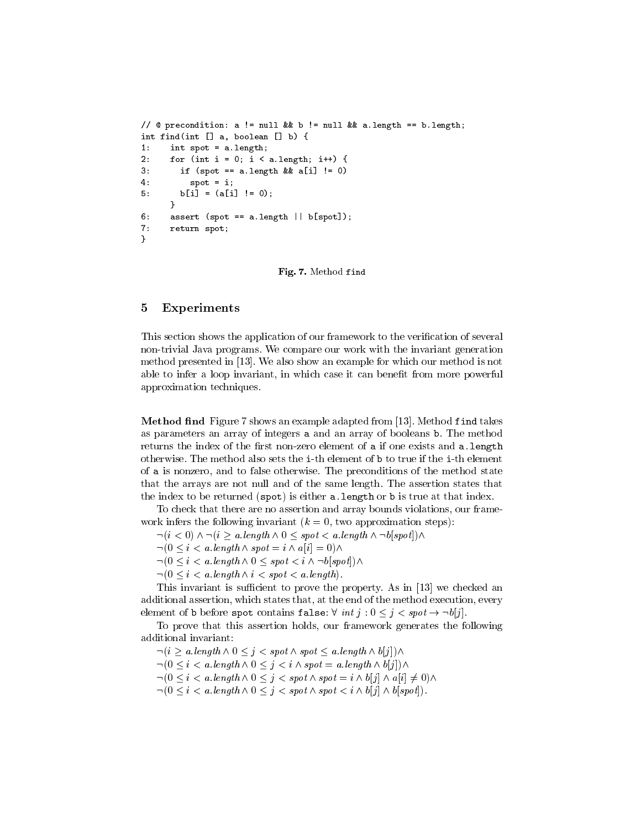```
// @ precondition: a != null && b != null && a.length == b.length;
int find(int [] a, boolean [] b) {
      int spot = a.length;1:2: for (int i = 0; i < a.length; i++) {
\mathbf{B}if (spot == a.length & a[i] != 0)
4:spot = i;5:b[i] = (a[i] != 0);ŀ
      }
6:assert (spot == a.length || b[spot]);
7: return spot;
}
```
Fig. 7. Method find

#### 5Experiments

This section shows the application of our framework to the verification of several non-trivial Java programs. We compare our work with the invariant generation method presented in [13]. We also show an example for which our method is not able to infer a loop invariant, in which case it can benefit from more powerful approximation techniques.

**Method find** Figure 7 shows an example adapted from [13]. Method find takes as parameters an array of integers a and an array of booleans b. The method returns the index of the first non-zero element of a if one exists and a.length otherwise. The method also sets the i-th element of b to true if the i-th element of a is nonzero, and to false otherwise. The preconditions of the method state that the arrays are not null and of the same length. The assertion states that the index to be returned (spot) is either a.length or b is true at that index.

To check that there are no assertion and array bounds violations, our frame work infers the following invariant  $(k = 0,$  two approximation steps):

 $\neg (i < 0) \land \neg (i \geq a.length \land 0 \leq spot < a.length \land \neg b[spot]) \land$ 

 $\neg (0 \leq i \leq \text{ a.length } \land \text{ spot} = i \land \text{ a}[i] = 0) \land$ 

 $\neg (0 \leq i < a.length \land 0 \leq spot < i \land \neg b[spot]) \land$ 

 $\neg(0 \leq i \leq a.length \land i \leq spot \leq a.length).$ 

This invariant is sufficient to prove the property. As in [13] we checked an additional assertion, which states that, at the end of the method execution, every element of b before spot contains false:  $\forall$  int  $j : 0 \leq j \leq spot \rightarrow \neg b[j].$ 

To prove that this assertion holds, our framework generates the following additional invariant:

 $\neg (i \geq a.length \land 0 \leq j < spot \land spot \leq a.length \land b[j]) \land$  $\neg(0 \leq i < \text{a.length} \land 0 \leq j < i \land \text{spot} = \text{a.length} \land \text{b}[j]) \land$  $\neg(0 \leq i \leq \text{ a.length } \land 0 \leq j \leq \text{ spot } \land \text{ spot} = i \land b[j] \land a[i] \neq 0) \land$  $\neg (0 \leq i < a.length \land 0 \leq j < spot \land spot < i \land b[j] \land b[spot]).$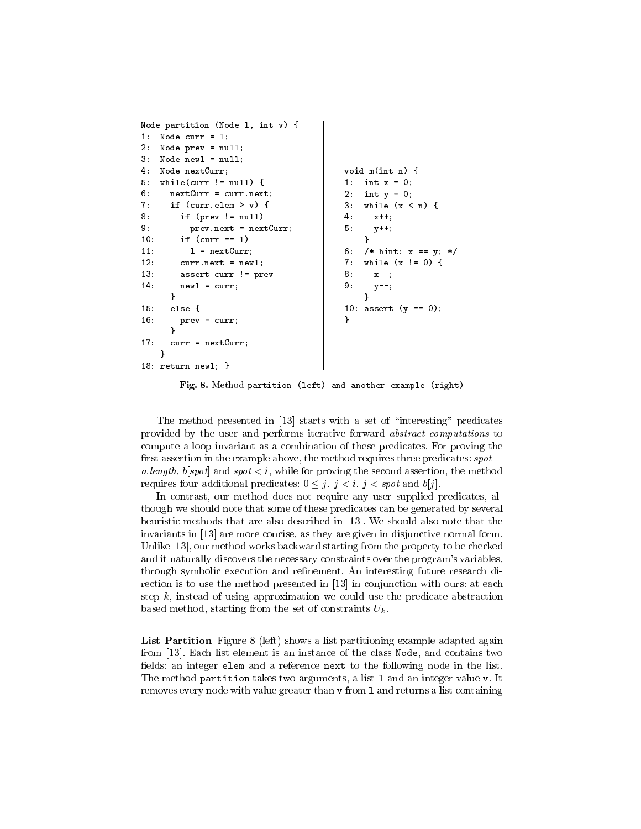```
Node partition (Node l, int v) {
1:Node curr = 1;
     Node prev = null;
2:3: Node newl = null;
4: Node nextCurr;
                                                          void m(int n) {
5:while(curr := null) {
                                                          1.1int x = 0;
                                                          2: int y = 0;
6: nextCurr = curr.next;
        7: if (curr.elem > v) {
7:3.while (x < n) {
\mathsf{R}.
           if (prev != null)
                                                         4: x++;
\mathbf{q}.
             prev.next = nextCurr;
                                                          5: y++;
10<sub>1</sub>if (curr == 1)J.
                                                                }
111 = nextCurr;6
                                                               /* hint: x == y; */
12<sub>1</sub>curr.next = new1;7:while (x := 0) {
13: assert curr != prev
                                                         8:x--:
                                                          \frac{1}{2} \frac{1}{2} \frac{1}{2} \frac{1}{2} \frac{1}{2} \frac{1}{2} \frac{1}{2} \frac{1}{2} \frac{1}{2} \frac{1}{2} \frac{1}{2} \frac{1}{2} \frac{1}{2} \frac{1}{2} \frac{1}{2} \frac{1}{2} \frac{1}{2} \frac{1}{2} \frac{1}{2} \frac{1}{2} \frac{1}{2} \frac{1}{2} 14: newl = curr;
                                                          9: y--;
                                                               J.
        }
                                                                }
15: else {
                                                          10: assert (y == 0);
16: prev = curr;
                                                          }
        ι
        }
17:curr = nextCurr;ŀ
      }
18: return newl; }
```
Fig. 8. Method partition (left) and another example (right)

The method presented in [13] starts with a set of \interesting" predicates provided by the user and performs iterative forward abstract computations to compute a loop invariant as a combination of these predicates. For proving the first assertion in the example above, the method requires three predicates:  $spot =$ a.length,  $b[spot]$  and  $spot < i$ , while for proving the second assertion, the method requires four additional predicates:  $0 \leq j, j \leq i, j \leq spot$  and  $b[j]$ .

In contrast, our method does not require any user supplied predicates, although we should note that some of these predicates can be generated by several heuristic methods that are also described in [13]. We should also note that the invariants in [13] are more concise, as they are given in disjunctive normal form. Unlike [13], our method works backward starting from the property to be checked and it naturally discovers the necessary constraints over the program's variables, through symbolic execution and refinement. An interesting future research direction is to use the method presented in [13] in conjunction with ours: at each step  $k$ , instead of using approximation we could use the predicate abstraction based method, starting from the set of constraints  $U_k$ .

List Partition Figure 8 (left) shows a list partitioning example adapted again from [13]. Each list element is an instance of the class Node, and contains two fields: an integer elem and a reference next to the following node in the list. The method partition takes two arguments, a list l and an integer value v. It removes every node with value greater than v from l and returns a list containing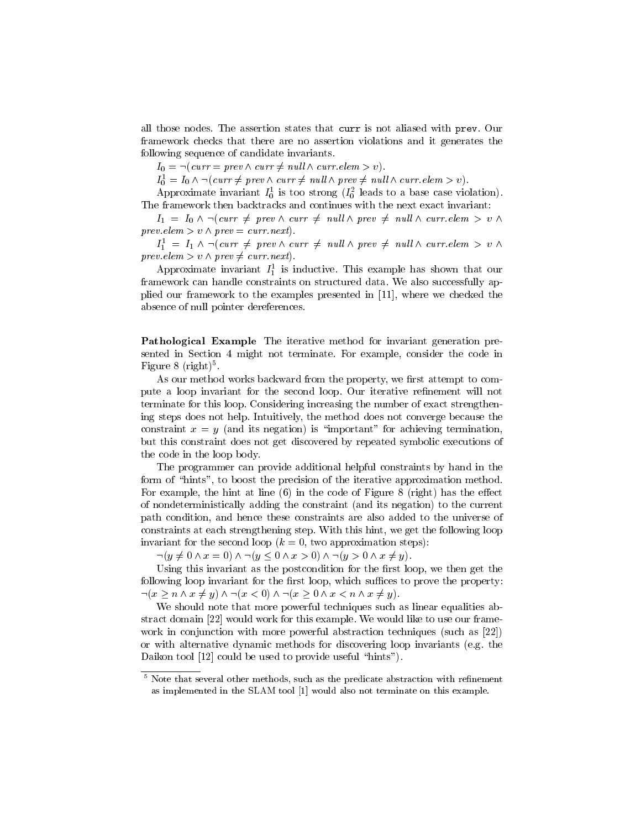all those nodes. The assertion states that curr is not aliased with prev. Our framework checks that there are no assertion violations and it generates the following sequence of candidate invariants.

 $I_0 = \neg(curr = prev \land curr \neq null \land curr.elem > v).$ 

 $I_0^{\perp} \equiv I_0 \wedge \neg (curr \neq prev \wedge curr \neq null \wedge prev \neq null \wedge curr. eiem > v).$ 

Approximate invariant  $I_0^-$  is too strong  $(I_0^-$  leads to a base case violation). The framework then backtracks and continues with the next exact invariant:

 $I_1 = I_0 \wedge \neg (curr \neq prev \wedge curr \neq null \wedge prev \neq null \wedge curr. elem > v \wedge ...$  $p_1$  ev. elem  $> v \wedge p_1$  ev  $=$  curr.next).

 $I_1 = I_1 \wedge \neg (curr \neq \text{prev} \wedge \text{curr} \neq \text{num} \wedge \text{prev} \neq \text{num} \wedge \text{curr} \text{term} \geq v \wedge \neg (curr \neq \text{prev} \neq \text{num} \wedge \text{prev} \neq \text{num} \wedge \text{query} \neq \text{new} \wedge \text{num} \wedge \text{query} \neq \text{new} \wedge \text{num} \wedge \text{query} \neq \text{new} \wedge \text{num} \wedge \text{query} \neq \text{new} \wedge \text{num} \wedge \text{query} \neq \text{$ prev.elem  $> v \wedge p$ rev  $+$  curr.next).

Approximate invariant  $I_1$  is inductive. This example has shown that our framework can handle constraints on structured data. We also successfully applied our framework to the examples presented in [11], where we checked the absence of null pointer dereferences.

Pathological Example The iterative method for invariant generation presented in Section 4 might not terminate. For example, consider the code in r igure o (right)<sup>-</sup>.

As our method works backward from the property, we first attempt to compute a loop invariant for the second loop. Our iterative renement will not terminate for this loop. Considering increasing the number of exact strengthening steps does not help. Intuitively, the method does not converge because the constraint  $x = y$  (and its negation) is "important" for achieving termination, but this constraint does not get discovered by repeated symbolic executions of the code in the loop body.

The programmer can provide additional helpful constraints by hand in the form of "hints", to boost the precision of the iterative approximation method. For example, the hint at line  $(6)$  in the code of Figure 8 (right) has the effect of nondeterministically adding the constraint (and its negation) to the current path condition, and hence these constraints are also added to the universe of constraints at each strengthening step. With this hint, we get the following loop invariant for the second loop  $(k = 0, \text{ two approximation steps})$ :

 $\neg(y \neq 0 \land x = 0) \land \neg(y \leq 0 \land x > 0) \land \neg(y > 0 \land x \neq y).$ 

Using this invariant as the postcondition for the first loop, we then get the following loop invariant for the first loop, which suffices to prove the property:  $\neg(x > n \land x \neq y) \land \neg(x < 0) \land \neg(x > 0 \land x < n \land x \neq y).$ 

We should note that more powerful techniques such as linear equalities abstract domain [22] would work for this example. We would like to use our frame work in conjunction with more powerful abstraction techniques (such as [22]) or with alternative dynamic methods for discovering loop invariants (e.g. the Daikon tool [12] could be used to provide useful "hints").

 $^\circ$  Note that several other methods, such as the predicate abstraction with refinement  $^\circ$ as implemented in the SLAM tool [1] would also not terminate on this example.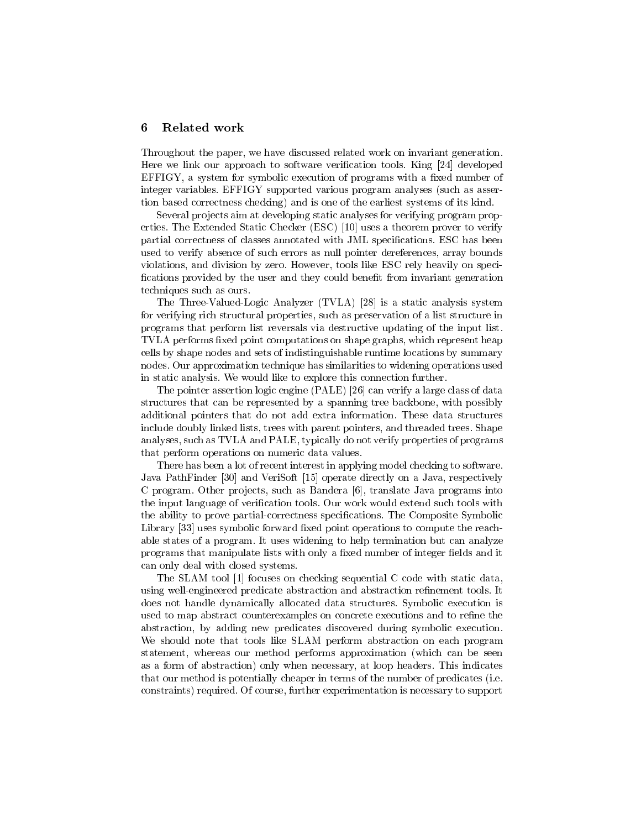#### 6Related work

Throughout the paper, we have discussed related work on invariant generation. Here we link our approach to software verication tools. King [24] developed EFFIGY, a system for symbolic execution of programs with a fixed number of integer variables. EFFIGY supported various program analyses (such as assertion based correctness checking) and is one of the earliest systems of its kind.

Several projects aim at developing static analyses for verifying program properties. The Extended Static Checker (ESC) [10] uses a theorem prover to verify partial correctness of classes annotated with JML specifications. ESC has been used to verify absence of such errors as null pointer dereferences, array bounds violations, and division by zero. However, tools like ESC rely heavily on speci fications provided by the user and they could benefit from invariant generation techniques such as ours.

The Three-Valued-Logic Analyzer (TVLA) [28] is a static analysis system for verifying rich structural properties, such as preservation of a list structure in programs that perform list reversals via destructive updating of the input list. TVLA performs fixed point computations on shape graphs, which represent heap cells by shape nodes and sets of indistinguishable runtime locations by summary nodes. Our approximation technique has similarities to widening operations used in static analysis. We would like to explore this connection further.

The pointer assertion logic engine (PALE) [26] can verify a large class of data structures that can be represented by a spanning tree backbone, with possibly additional pointers that do not add extra information. These data structures include doubly linked lists, trees with parent pointers, and threaded trees. Shape analyses, such as TVLA and PALE, typically do not verify properties of programs that perform operations on numeric data values.

There has been a lot of recent interest in applying model checking to software. Java PathFinder [30] and VeriSoft [15] operate directly on a Java, respectively C program. Other projects, such as Bandera [6], translate Java programs into the input language of verification tools. Our work would extend such tools with the ability to prove partial-correctness specifications. The Composite Symbolic Library [33] uses symbolic forward fixed point operations to compute the reachable states of a program. It uses widening to help termination but can analyze programs that manipulate lists with only a fixed number of integer fields and it can only deal with closed systems.

The SLAM tool [1] focuses on checking sequential C code with static data, using well-engineered predicate abstraction and abstraction refinement tools. It does not handle dynamically allocated data structures. Symbolic execution is used to map abstract counterexamples on concrete executions and to refine the abstraction, by adding new predicates discovered during symbolic execution. We should note that tools like SLAM perform abstraction on each program statement, whereas our method performs approximation (which can be seen as a form of abstraction) only when necessary, at loop headers. This indicates that our method is potentially cheaper in terms of the number of predicates (i.e. constraints) required. Of course, further experimentation is necessary to support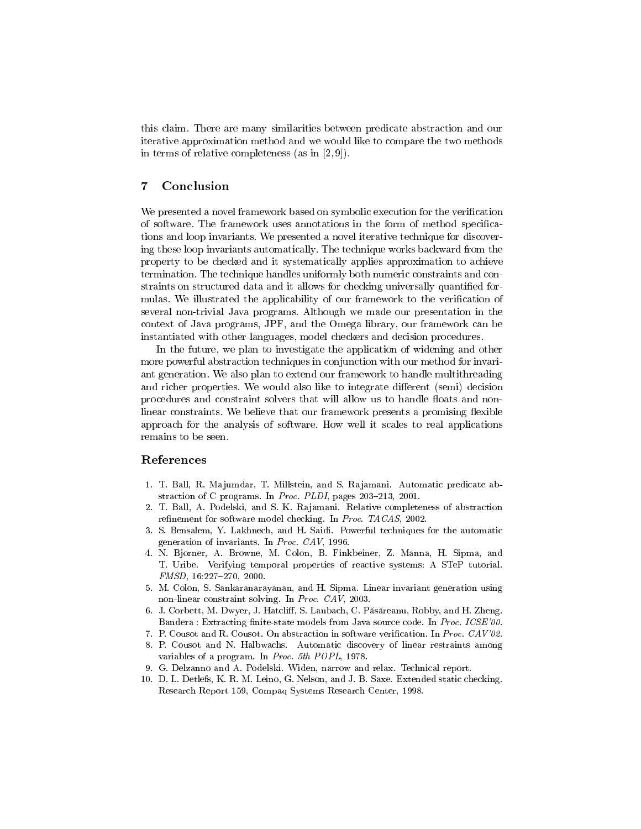this claim. There are many similarities between predicate abstraction and our iterative approximation method and we would like to compare the two methods in terms of relative completeness (as in  $[2, 9]$ ).

### 7

We presented a novel framework based on symbolic execution for the verification of software. The framework uses annotations in the form of method specications and loop invariants. We presented a novel iterative technique for discovering these loop invariants automatically. The technique works backward from the property to be checked and it systematically applies approximation to achieve termination. The technique handles uniformly both numeric constraints and constraints on structured data and it allows for checking universally quantied for mulas. We illustrated the applicability of our framework to the verification of several non-trivial Java programs. Although we made our presentation in the context of Java programs, JPF, and the Omega library, our framework can be instantiated with other languages, model checkers and decision procedures.

In the future, we plan to investigate the application of widening and other more powerful abstraction techniques in conjunction with our method for invariant generation. We also plan to extend our framework to handle multithreading and richer properties. We would also like to integrate different (semi) decision procedures and constraint solvers that will allow us to handle floats and nonlinear constraints. We believe that our framework presents a promising flexible approach for the analysis of software. How well it scales to real applications

## References

- 1. T. Ball, R. Majumdar, T. Millstein, and S. Rajamani. Automatic predicate abstraction of C programs. In Proc. PLDI, pages 203-213, 2001.
- 2. T. Ball, A. Podelski, and S. K. Ra jamani. Relative completeness of abstraction refinement for software model checking. In Proc. TACAS, 2002.
- 3. S. Bensalem, Y. Lakhnech, and H. Saidi. Powerful techniques for the automatic generation of invariants. In Proc. CAV, 1996.
- 4. N. Bjorner, A. Browne, M. Colon, B. Finkbeiner, Z. Manna, H. Sipma, and T. Uribe. Verifying temporal properties of reactive systems: A STeP tutorial.  $FMSD$ , 16:227-270, 2000.
- 5. M. Colon, S. Sankaranarayanan, and H. Sipma. Linear invariant generation using non-linear constraint solving. In Proc. CAV, 2003.
- 6. J. Corbett, M. Dwyer, J. Hatcliff, S. Laubach, C. Păsăreanu, Robby, and H. Zheng. Bandera : Extracting finite-state models from Java source code. In Proc. ICSE'00.
- 7. P. Cousot and R. Cousot. On abstraction in software verication. In Proc. CAV'02.
- 8. P. Cousot and N. Halbwachs. Automatic discovery of linear restraints among variables of a program. In Proc. 5th POPL, 1978.
- 9. G. Delzanno and A. Podelski. Widen, narrow and relax. Technical report.
- 10. D. L. Detlefs, K. R. M. Leino, G. Nelson, and J. B. Saxe. Extended static checking. Research Report 159, Compaq Systems Research Center, 1998.